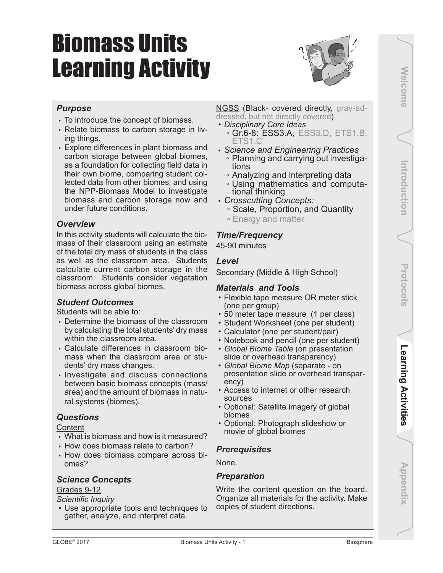# Biomass Units Learning Activity



# *Purpose*

- To introduce the concept of biomass.
- Relate biomass to carbon storage in living things.
- Explore differences in plant biomass and carbon storage between global biomes, as a foundation for collecting field data in their own biome, comparing student collected data from other biomes, and using the NPP-Biomass Model to investigate biomass and carbon storage now and under future conditions.

# *Overview*

In this activity students will calculate the biomass of their classroom using an estimate of the total dry mass of students in the class as well as the classroom area. Students calculate current carbon storage in the classroom. Students consider vegetation biomass across global biomes.

# *Student Outcomes*

Students will be able to:

- Determine the biomass of the classroom by calculating the total students' dry mass within the classroom area.
- Calculate differences in classroom biomass when the classroom area or students' dry mass changes.
- Investigate and discuss connections between basic biomass concepts (mass/ area) and the amount of biomass in natural systems (biomes).

# *Questions*

**Content** 

- What is biomass and how is it measured?
- How does biomass relate to carbon?
- How does biomass compare across biomes?

# *Science Concepts*

#### Grades 9-12

*Scientific Inquiry*

• Use appropriate tools and techniques to gather, analyze, and interpret data.

#### NGSS (Black- covered directly, gray-addressed, but not directly covered)

- *• Disciplinary Core Ideas*
	- Gr.6-8: ESS3.A, ESS3.D, ETS1.B, ETS1.C
- *Science and Engineering Practices*
	- Planning and carrying out investiga-<br>tions
	- Analyzing and interpreting data
- Using mathematics and computa- tional thinking *Crosscutting Concepts:*
- 
- Scale, Proportion, and Quantity
- Energy and matter

# *Time/Frequency*

45-90 minutes

## *Level*

Secondary (Middle & High School)

### *Materials and Tools*

- Flexible tape measure OR meter stick (one per group)
- 50 meter tape measure (1 per class)
- Student Worksheet (one per student)
- Calculator (one per student/pair)
- Notebook and pencil (one per student)
- *• Global Biome Table* (on presentation slide or overhead transparency)
- *• Global Biome Map* (separate on presentation slide or overhead transparency)
- Access to internet or other research sources
- Optional: Satellite imagery of global biomes
- Optional: Photograph slideshow or movie of global biomes

# *Prerequisites*

None.

# *Preparation*

Write the content question on the board. Organize all materials for the activity. Make copies of student directions.

**Appendix Welcome Introduction Protocols Learning Activities** Learning Activities

Appendix

Protocols

Welcome

Introduction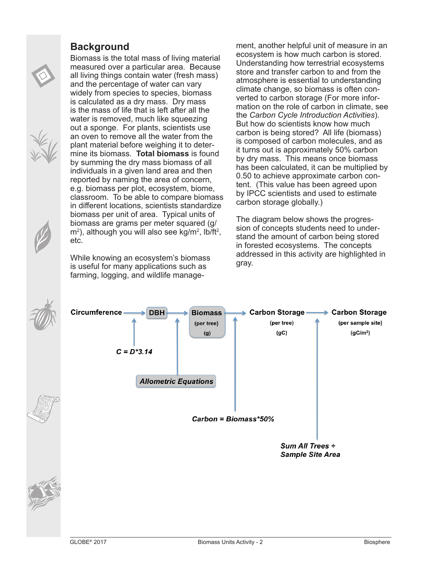# **Background**

Biomass is the total mass of living material measured over a particular area. Because all living things contain water (fresh mass) and the percentage of water can vary widely from species to species, biomass is calculated as a dry mass. Dry mass is the mass of life that is left after all the water is removed, much like squeezing out a sponge. For plants, scientists use an oven to remove all the water from the plant material before weighing it to determine its biomass. **Total biomass** is found by summing the dry mass biomass of all individuals in a given land area and then reported by naming the area of concern, e.g. biomass per plot, ecosystem, biome, classroom. To be able to compare biomass in different locations, scientists standardize biomass per unit of area. Typical units of biomass are grams per meter squared (g/  $\mathsf{m}^2$ ), although you will also see kg/m<sup>2</sup>, lb/ft<sup>2</sup>, etc.

While knowing an ecosystem's biomass is useful for many applications such as farming, logging, and wildlife management, another helpful unit of measure in an ecosystem is how much carbon is stored. Understanding how terrestrial ecosystems store and transfer carbon to and from the atmosphere is essential to understanding climate change, so biomass is often converted to carbon storage (For more information on the role of carbon in climate, see the *Carbon Cycle Introduction Activities*). But how do scientists know how much carbon is being stored? All life (biomass) is composed of carbon molecules, and as it turns out is approximately 50% carbon by dry mass. This means once biomass has been calculated, it can be multiplied by 0.50 to achieve approximate carbon content. (This value has been agreed upon by IPCC scientists and used to estimate carbon storage globally.)

The diagram below shows the progression of concepts students need to understand the amount of carbon being stored in forested ecosystems. The concepts addressed in this activity are highlighted in gray.

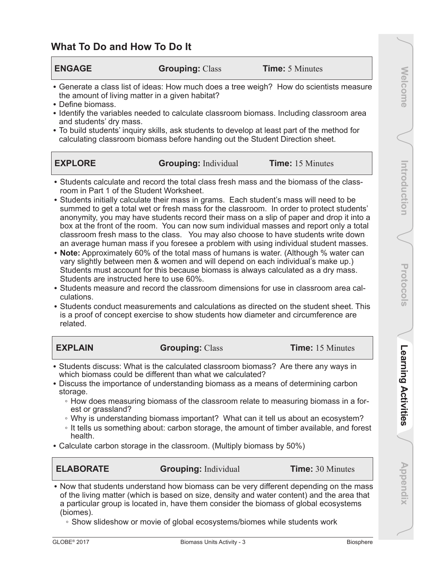# **What To Do and How To Do It**

| <b>ENGAGE</b>                                                                                                                                                                    | <b>Grouping: Class</b>      | <b>Time:</b> 5 Minutes                                                                                                                                                                                                                                                                                                                                                                                                                                                                                                                                                                                                                                                                                                                                                                                                                                                                                                                                                                                           |  |  |  |  |  |
|----------------------------------------------------------------------------------------------------------------------------------------------------------------------------------|-----------------------------|------------------------------------------------------------------------------------------------------------------------------------------------------------------------------------------------------------------------------------------------------------------------------------------------------------------------------------------------------------------------------------------------------------------------------------------------------------------------------------------------------------------------------------------------------------------------------------------------------------------------------------------------------------------------------------------------------------------------------------------------------------------------------------------------------------------------------------------------------------------------------------------------------------------------------------------------------------------------------------------------------------------|--|--|--|--|--|
| the amount of living matter in a given habitat?<br>• Define biomass.<br>and students' dry mass.<br>calculating classroom biomass before handing out the Student Direction sheet. |                             | • Generate a class list of ideas: How much does a tree weigh? How do scientists measure<br>• Identify the variables needed to calculate classroom biomass. Including classroom area<br>• To build students' inquiry skills, ask students to develop at least part of the method for                                                                                                                                                                                                                                                                                                                                                                                                                                                                                                                                                                                                                                                                                                                              |  |  |  |  |  |
| <b>EXPLORE</b>                                                                                                                                                                   | <b>Grouping:</b> Individual | <b>Time:</b> 15 Minutes                                                                                                                                                                                                                                                                                                                                                                                                                                                                                                                                                                                                                                                                                                                                                                                                                                                                                                                                                                                          |  |  |  |  |  |
| room in Part 1 of the Student Worksheet.<br>Students are instructed here to use 60%.<br>culations.                                                                               |                             | • Students calculate and record the total class fresh mass and the biomass of the class-<br>• Students initially calculate their mass in grams. Each student's mass will need to be<br>summed to get a total wet or fresh mass for the classroom. In order to protect students'<br>anonymity, you may have students record their mass on a slip of paper and drop it into a<br>box at the front of the room. You can now sum individual masses and report only a total<br>classroom fresh mass to the class. You may also choose to have students write down<br>an average human mass if you foresee a problem with using individual student masses.<br>• Note: Approximately 60% of the total mass of humans is water. (Although % water can<br>vary slightly between men & women and will depend on each individual's make up.)<br>Students must account for this because biomass is always calculated as a dry mass.<br>• Students measure and record the classroom dimensions for use in classroom area cal- |  |  |  |  |  |

• Students conduct measurements and calculations as directed on the student sheet. This is a proof of concept exercise to show students how diameter and circumference are related.

| <b>EXPLAIN</b>                                                                                                                                   | <b>Grouping: Class</b>                                                              | <b>Time:</b> 15 Minutes |  |  |  |  |
|--------------------------------------------------------------------------------------------------------------------------------------------------|-------------------------------------------------------------------------------------|-------------------------|--|--|--|--|
| • Students discuss: What is the calculated classroom biomass? Are there any ways in<br>which biomass could be different than what we calculated? |                                                                                     |                         |  |  |  |  |
| • Discuss the importance of understanding biomass as a means of determining carbon<br>storage.                                                   |                                                                                     |                         |  |  |  |  |
| est or grassland?                                                                                                                                | • How does measuring biomass of the classroom relate to measuring biomass in a for- |                         |  |  |  |  |

- Why is understanding biomass important? What can it tell us about an ecosystem?
- It tells us something about: carbon storage, the amount of timber available, and forest health.
- Calculate carbon storage in the classroom. (Multiply biomass by 50%)

**ELABORATE Grouping:** Individual **Time:** 30 Minutes

• Now that students understand how biomass can be very different depending on the mass of the living matter (which is based on size, density and water content) and the area that a particular group is located in, have them consider the biomass of global ecosystems (biomes).

◦ Show slideshow or movie of global ecosystems/biomes while students work

**Appendix Welcome Introduction Protocols Learning Activities**

Learning Activities

Appendix

Protocols

Introduction

**Welcome**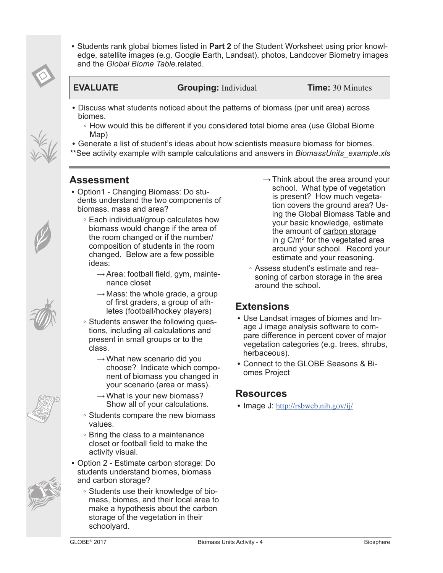

• Students rank global biomes listed in **Part 2** of the Student Worksheet using prior knowledge, satellite images (e.g. Google Earth, Landsat), photos, Landcover Biometry images and the *Global Biome Table*.related.

**EVALUATE Grouping:** Individual **Time:** 30 Minutes

- Discuss what students noticed about the patterns of biomass (per unit area) across biomes.
	- How would this be different if you considered total biome area (use Global Biome Map)
- Generate a list of student's ideas about how scientists measure biomass for biomes.
- \*\*See activity example with sample calculations and answers in *BiomassUnits\_example.xls*

# **Assessment**

- Option1 Changing Biomass: Do students understand the two components of biomass, mass and area?
	- Each individual/group calculates how biomass would change if the area of the room changed or if the number/ composition of students in the room changed. Below are a few possible ideas:
		- $\rightarrow$  Area: football field, gym, maintenance closet
		- $\rightarrow$  Mass: the whole grade, a group of first graders, a group of athletes (football/hockey players)
	- Students answer the following questions, including all calculations and present in small groups or to the class.
		- $\rightarrow$  What new scenario did you choose? Indicate which component of biomass you changed in your scenario (area or mass).
		- $\rightarrow$  What is your new biomass? Show all of your calculations.
	- Students compare the new biomass values.
	- Bring the class to a maintenance closet or football field to make the activity visual.
- Option 2 Estimate carbon storage: Do students understand biomes, biomass and carbon storage?
	- Students use their knowledge of biomass, biomes, and their local area to make a hypothesis about the carbon storage of the vegetation in their schoolyard.
- $\rightarrow$  Think about the area around your school. What type of vegetation is present? How much vegetation covers the ground area? Using the Global Biomass Table and your basic knowledge, estimate the amount of carbon storage in g C/m<sup>2</sup> for the vegetated area around your school. Record your estimate and your reasoning.
- Assess student's estimate and reasoning of carbon storage in the area around the school.

# **Extensions**

- Use Landsat images of biomes and Image J image analysis software to compare difference in percent cover of major vegetation categories (e.g. trees, shrubs, herbaceous).
- Connect to the GLOBE Seasons & Biomes Project

# **Resources**

• Image J: <http://rsbweb.nih.gov/ij/>





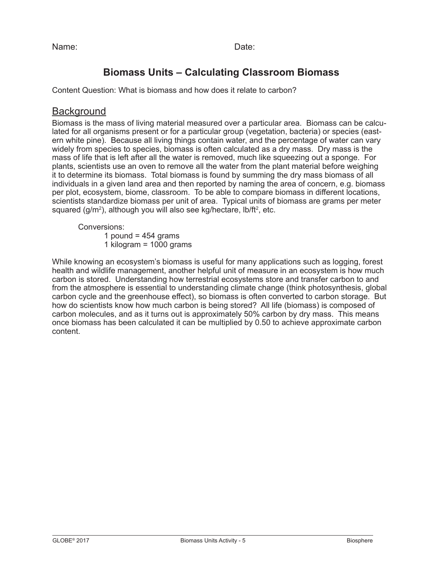Name: **Name:** 2008 Contract a Contract and Date:

# **Biomass Units – Calculating Classroom Biomass**

Content Question: What is biomass and how does it relate to carbon?

# **Background**

Biomass is the mass of living material measured over a particular area. Biomass can be calculated for all organisms present or for a particular group (vegetation, bacteria) or species (eastern white pine). Because all living things contain water, and the percentage of water can vary widely from species to species, biomass is often calculated as a dry mass. Dry mass is the mass of life that is left after all the water is removed, much like squeezing out a sponge. For plants, scientists use an oven to remove all the water from the plant material before weighing it to determine its biomass. Total biomass is found by summing the dry mass biomass of all individuals in a given land area and then reported by naming the area of concern, e.g. biomass per plot, ecosystem, biome, classroom. To be able to compare biomass in different locations, scientists standardize biomass per unit of area. Typical units of biomass are grams per meter squared (g/m<sup>2</sup>), although you will also see kg/hectare, lb/ft<sup>2</sup>, etc.

Conversions:

1 pound =  $454$  grams

1 kilogram = 1000 grams

While knowing an ecosystem's biomass is useful for many applications such as logging, forest health and wildlife management, another helpful unit of measure in an ecosystem is how much carbon is stored. Understanding how terrestrial ecosystems store and transfer carbon to and from the atmosphere is essential to understanding climate change (think photosynthesis, global carbon cycle and the greenhouse effect), so biomass is often converted to carbon storage. But how do scientists know how much carbon is being stored? All life (biomass) is composed of carbon molecules, and as it turns out is approximately 50% carbon by dry mass. This means once biomass has been calculated it can be multiplied by 0.50 to achieve approximate carbon content.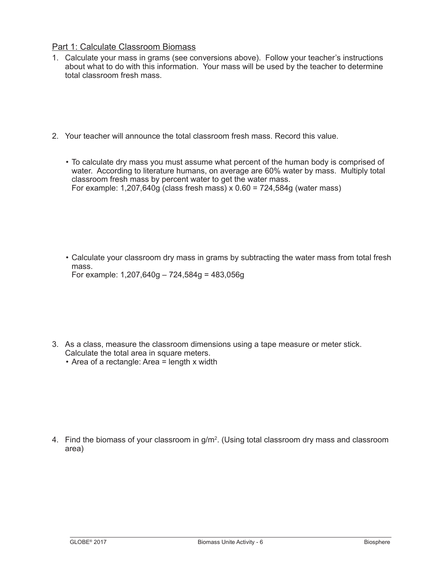#### Part 1: Calculate Classroom Biomass

- 1. Calculate your mass in grams (see conversions above). Follow your teacher's instructions about what to do with this information. Your mass will be used by the teacher to determine total classroom fresh mass.
- 2. Your teacher will announce the total classroom fresh mass. Record this value.
	- To calculate dry mass you must assume what percent of the human body is comprised of water. According to literature humans, on average are 60% water by mass. Multiply total classroom fresh mass by percent water to get the water mass. For example:  $1,207,640g$  (class fresh mass) x  $0.60 = 724,584g$  (water mass)

• Calculate your classroom dry mass in grams by subtracting the water mass from total fresh mass. For example: 1,207,640g – 724,584g = 483,056g

- 3. As a class, measure the classroom dimensions using a tape measure or meter stick. Calculate the total area in square meters.
	- Area of a rectangle: Area = length x width

4. Find the biomass of your classroom in g/m<sup>2</sup>. (Using total classroom dry mass and classroom area)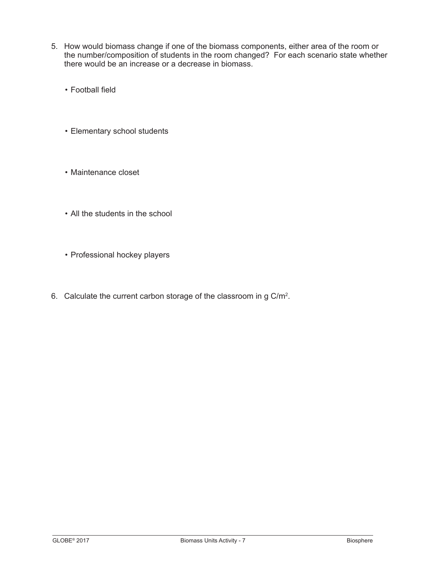- 5. How would biomass change if one of the biomass components, either area of the room or the number/composition of students in the room changed? For each scenario state whether there would be an increase or a decrease in biomass.
	- Football field
	- Elementary school students
	- Maintenance closet
	- All the students in the school
	- Professional hockey players
- 6. Calculate the current carbon storage of the classroom in g  $C/m<sup>2</sup>$ .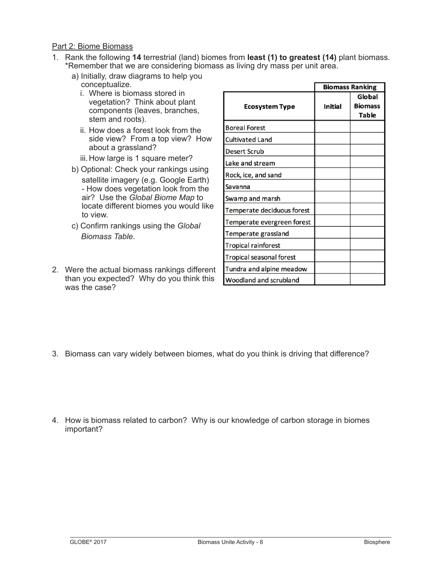#### Part 2: Biome Biomass

- 1. Rank the following **14** terrestrial (land) biomes from **least (1) to greatest (14)** plant biomass. \*Remember that we are considering biomass as living dry mass per unit area.
	- a) Initially, draw diagrams to help you conceptualize.
		- i. Where is biomass stored in vegetation? Think about plant components (leaves, branches, stem and roots).
		- ii. How does a forest look from the side view? From a top view? How about a grassland?
		- iii. How large is 1 square meter?
	- b) Optional: Check your rankings using satellite imagery (e.g. Google Earth) - How does vegetation look from the air? Use the *Global Biome Map* to locate different biomes you would like to view.
	- c) Confirm rankings using the *Global Biomass Table*.
- 2. Were the actual biomass rankings different than you expected? Why do you think this was the case?

|                                 | <b>Biomass Ranking</b> |                                          |
|---------------------------------|------------------------|------------------------------------------|
| <b>Ecosystem Type</b>           | <b>Initial</b>         | Global<br><b>Biomass</b><br><b>Table</b> |
| <b>Boreal Forest</b>            |                        |                                          |
| <b>Cultivated Land</b>          |                        |                                          |
| <b>Desert Scrub</b>             |                        |                                          |
| Lake and stream                 |                        |                                          |
| Rock, ice, and sand             |                        |                                          |
| Savanna                         |                        |                                          |
| Swamp and marsh                 |                        |                                          |
| Temperate deciduous forest      |                        |                                          |
| Temperate evergreen forest      |                        |                                          |
| Temperate grassland             |                        |                                          |
| <b>Tropical rainforest</b>      |                        |                                          |
| <b>Tropical seasonal forest</b> |                        |                                          |
| Tundra and alpine meadow        |                        |                                          |
| Woodland and scrubland          |                        |                                          |

- 3. Biomass can vary widely between biomes, what do you think is driving that difference?
- 4. How is biomass related to carbon? Why is our knowledge of carbon storage in biomes important?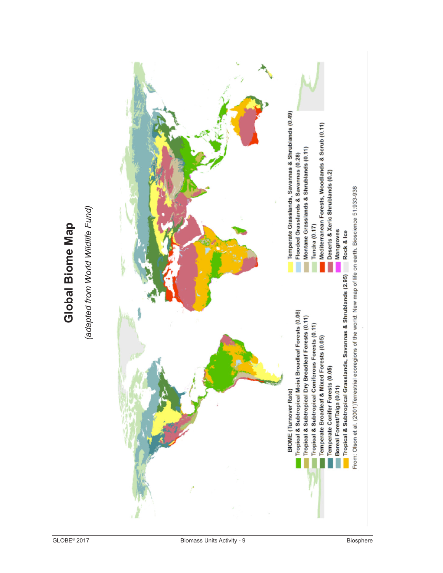